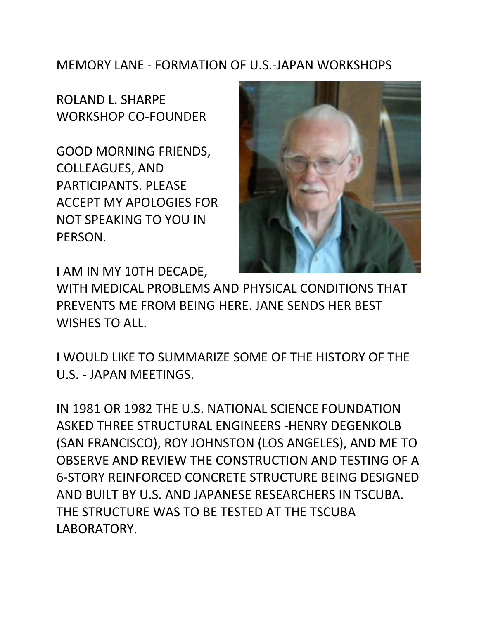## MEMORY LANE - FORMATION OF U.S.-JAPAN WORKSHOPS

ROLAND L. SHARPE WORKSHOP CO-FOUNDER

GOOD MORNING FRIENDS, COLLEAGUES, AND PARTICIPANTS. PLEASE ACCEPT MY APOLOGIES FOR NOT SPEAKING TO YOU IN PERSON.



I AM IN MY 10TH DECADE,

WITH MEDICAL PROBLEMS AND PHYSICAL CONDITIONS THAT PREVENTS ME FROM BEING HERE. JANE SENDS HER BEST WISHES TO ALL.

I WOULD LIKE TO SUMMARIZE SOME OF THE HISTORY OF THE U.S. - JAPAN MEETINGS.

IN 1981 OR 1982 THE U.S. NATIONAL SCIENCE FOUNDATION ASKED THREE STRUCTURAL ENGINEERS -HENRY DEGENKOLB (SAN FRANCISCO), ROY JOHNSTON (LOS ANGELES), AND ME TO OBSERVE AND REVIEW THE CONSTRUCTION AND TESTING OF A 6-STORY REINFORCED CONCRETE STRUCTURE BEING DESIGNED AND BUILT BY U.S. AND JAPANESE RESEARCHERS IN TSCUBA. THE STRUCTURE WAS TO BE TESTED AT THE TSCUBA LABORATORY.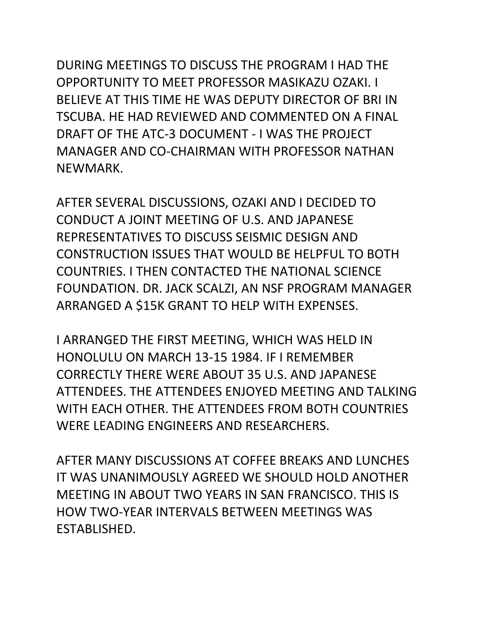DURING MEETINGS TO DISCUSS THE PROGRAM I HAD THE OPPORTUNITY TO MEET PROFESSOR MASIKAZU OZAKI. I BELIEVE AT THIS TIME HE WAS DEPUTY DIRECTOR OF BRI IN TSCUBA. HE HAD REVIEWED AND COMMENTED ON A FINAL DRAFT OF THE ATC-3 DOCUMENT - I WAS THE PROJECT MANAGER AND CO-CHAIRMAN WITH PROFESSOR NATHAN NEWMARK.

AFTER SEVERAL DISCUSSIONS, OZAKI AND I DECIDED TO CONDUCT A JOINT MEETING OF U.S. AND JAPANESE REPRESENTATIVES TO DISCUSS SEISMIC DESIGN AND CONSTRUCTION ISSUES THAT WOULD BE HELPFUL TO BOTH COUNTRIES. I THEN CONTACTED THE NATIONAL SCIENCE FOUNDATION. DR. JACK SCALZI, AN NSF PROGRAM MANAGER ARRANGED A \$15K GRANT TO HELP WITH EXPENSES.

I ARRANGED THE FIRST MEETING, WHICH WAS HELD IN HONOLULU ON MARCH 13-15 1984. IF I REMEMBER CORRECTLY THERE WERE ABOUT 35 U.S. AND JAPANESE ATTENDEES. THE ATTENDEES ENJOYED MEETING AND TALKING WITH EACH OTHER. THE ATTENDEES FROM BOTH COUNTRIES WERE LEADING ENGINEERS AND RESEARCHERS.

AFTER MANY DISCUSSIONS AT COFFEE BREAKS AND LUNCHES IT WAS UNANIMOUSLY AGREED WE SHOULD HOLD ANOTHER MEETING IN ABOUT TWO YEARS IN SAN FRANCISCO. THIS IS HOW TWO-YEAR INTERVALS BETWEEN MEETINGS WAS ESTABLISHED.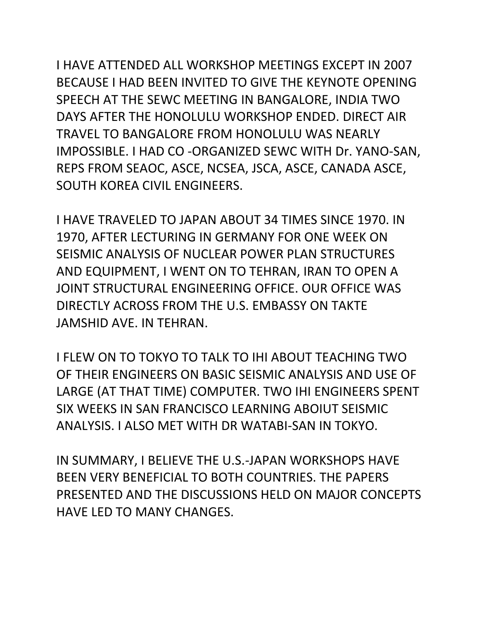I HAVE ATTENDED ALL WORKSHOP MEETINGS EXCEPT IN 2007 BECAUSE I HAD BEEN INVITED TO GIVE THE KEYNOTE OPENING SPEECH AT THE SEWC MEETING IN BANGALORE, INDIA TWO DAYS AFTER THE HONOLULU WORKSHOP ENDED. DIRECT AIR TRAVEL TO BANGALORE FROM HONOLULU WAS NEARLY IMPOSSIBLE. I HAD CO -ORGANIZED SEWC WITH Dr. YANO-SAN, REPS FROM SEAOC, ASCE, NCSEA, JSCA, ASCE, CANADA ASCE, SOUTH KOREA CIVIL ENGINEERS.

I HAVE TRAVELED TO JAPAN ABOUT 34 TIMES SINCE 1970. IN 1970, AFTER LECTURING IN GERMANY FOR ONE WEEK ON SEISMIC ANALYSIS OF NUCLEAR POWER PLAN STRUCTURES AND EQUIPMENT, I WENT ON TO TEHRAN, IRAN TO OPEN A JOINT STRUCTURAL ENGINEERING OFFICE. OUR OFFICE WAS DIRECTLY ACROSS FROM THE U.S. EMBASSY ON TAKTE JAMSHID AVE. IN TEHRAN.

I FLEW ON TO TOKYO TO TALK TO IHI ABOUT TEACHING TWO OF THEIR ENGINEERS ON BASIC SEISMIC ANALYSIS AND USE OF LARGE (AT THAT TIME) COMPUTER. TWO IHI ENGINEERS SPENT SIX WEEKS IN SAN FRANCISCO LEARNING ABOIUT SEISMIC ANALYSIS. I ALSO MET WITH DR WATABI-SAN IN TOKYO.

IN SUMMARY, I BELIEVE THE U.S.-JAPAN WORKSHOPS HAVE BEEN VERY BENEFICIAL TO BOTH COUNTRIES. THE PAPERS PRESENTED AND THE DISCUSSIONS HELD ON MAJOR CONCEPTS HAVE LED TO MANY CHANGES.